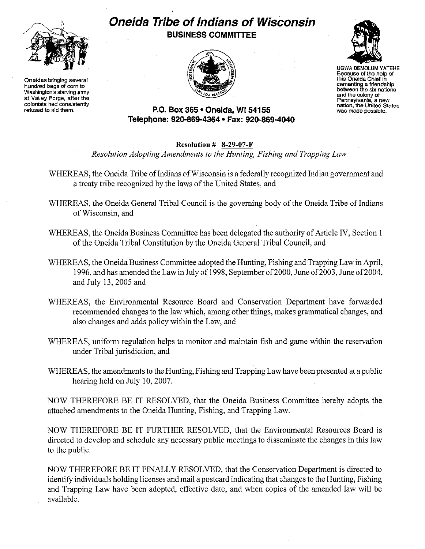

**Oneidas bringing several hundred bags of corn to Washington's starving army at Valley Forge, after the colonists had consistently refused to aid them.** 

## **Oneida Tribe of Indians of Wisconsin BUSINESS COMMITTEE**





UGWA DEMOLUM YATEHE **Because of the help of this Oneida Chief in cementing a friendship between the six nations and the colony of Pennsylvania, a new nation, the United States was made possible.** 

## **P.O. Box 365· Oneida,** WI 54155 **Telephone: 920-869-4364 • Fax: 920-869-4040**

## **Resolution # 8-29-07-F**

*Resolution Adopting Amendments to the Hunting, Fishing and Trapping Law* 

- WHEREAS, the Oneida Tribe of Indians of Wisconsin is a federally recognized Indian government and a treaty tribe recognized by the laws of the United States, and
- WHEREAS, the Oneida General Tribal Council is the governing body of the Oneida Tribe of Indians of Wisconsin, and
- WHEREAS, the Oneida Business Committee has been delegated the authority of Article IV, Section I of the Oneida Tribal Constitution by the Oneida General Tribal Council, and
- WHEREAS, the Oneida Business Committee adopted the Hunting, Fishing and Trapping Law in April, 1996, and has amended the Law in July of 1998, September of 2000, June of 2003, June of 2004, and July 13,2005 and
- WHEREAS, the Environmental Resource Board and Conservation Department have forwarded recommended changes to the law which, among other things, makes grammatical changes, and also changes and adds policy within the Law, and
- WHEREAS, uniform regulation helps to monitor and maintain fish and game within the reservation under Tribal jurisdiction, and
- WHEREAS, the amendments to the Hunting, Fishing and Trapping Law have been presented at a public hearing held on July 10,2007.

NOW THEREFORE BE IT RESOLVED, that the Oneida Business Committee hereby adopts the attached amendments to the Oneida Hunting, Fishing, and Trapping Law.

NOW THEREFORE BE IT FURTHER RESOLVED, that the Environmental Resources Board is directed to develop and schedule any necessary public meetings to disseminate the changes in this law to the public.

NOW THEREFORE BE IT FINALLY RESOLVED, that the Conservation Department is directed to identify individuals holding licenses and mail a postcard indicating that changes to the Hunting, Fishing and Trapping Law have been adopted, effective date, and when copies of the amended law will be available.